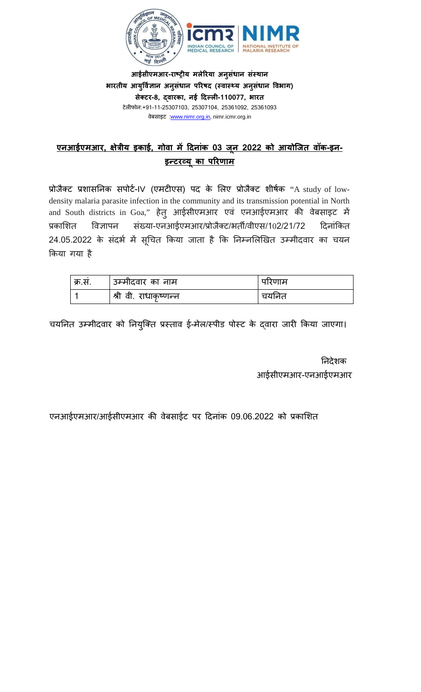

**आईसीएमआर-राष्ट्र य मलेरया अनुसंधान संस्** भारतीय आयुर्विज्ञान अनुसंधान परिषद (स्वास्थ्य अनुसंधान विभाग) **सेक्ट-8, द्वारक, नई �दल्ल-110077, भारत** टेल�फोन:+91-11-25307103, 25307104, 25361092, 25361093 वेबसाइट :[www.nimr.org.in,](http://www.nimr.org.in/) nimr.icmr.org.in

## **एनआईएमआर, �ेत्रीय इक, गोवा म� �दनांक 03 जू न 2022 को आयोिजत वॉक-इन-**<u>इन्टरव्यू का परिणाम</u>

प्रोजैक्ट प्रशासनिक सपोर्ट-IV (एमटीएस) पद के लिए प्रोजैक्ट शीर्षक "A study of lowdensity malaria parasite infection in the community and its transmission potential in North and South districts in Goa," हेतु आईसीएमआर एवं एनआईएमआर की वेबसाइट में प्रकाशित विज्ञापन संख्या-एनआईएमआर/प्रोजैक्ट/भर्ती/वीएस/102/21/72 दिनांकित 24.05.2022 के संदर्भ में सूचित किया जाता है कि निम्नलिखित उम्मीदवार का चयन �कया गया है

| ' क्र.स. | उम्मीदवार का नाम      | पारणाम   |
|----------|-----------------------|----------|
|          | श्री वी. राधाकृष्णन्न | चर्यानेत |

चयनित उम्मीदवार को नियुक्ति प्रस्ताव ई-मेल/स्पीड पोस्ट के दवारा जारी किया जाएगा।

 नदेशक आईसीएमआर-एनआईएमआर

एनआईएमआर/आईसीएमआर की वेबसाईट पर दिनांक 09.06.2022 को प्रकाशित